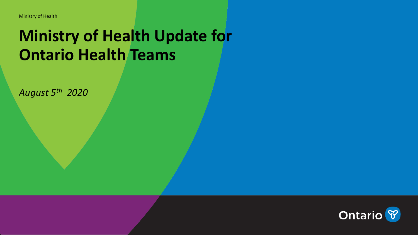# **Ministry of Health Update for Ontario Health Teams**

*August 5th 2020*

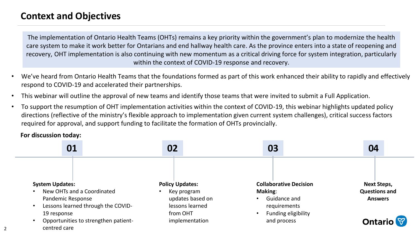## **Context and Objectives**

The implementation of Ontario Health Teams (OHTs) remains a key priority within the government's plan to modernize the health care system to make it work better for Ontarians and end hallway health care. As the province enters into a state of reopening and recovery, OHT implementation is also continuing with new momentum as a critical driving force for system integration, particularly within the context of COVID-19 response and recovery.

- We've heard from Ontario Health Teams that the foundations formed as part of this work enhanced their ability to rapidly and effectively respond to COVID-19 and accelerated their partnerships.
- This webinar will outline the approval of new teams and identify those teams that were invited to submit a Full Application.
- To support the resumption of OHT implementation activities within the context of COVID-19, this webinar highlights updated policy directions (reflective of the ministry's flexible approach to implementation given current system challenges), critical success factors required for approval, and support funding to facilitate the formation of OHTs provincially.

#### **For discussion today:**

2

| 01                                                                                  | 02                                                             | 03                                                             | 04                                     |
|-------------------------------------------------------------------------------------|----------------------------------------------------------------|----------------------------------------------------------------|----------------------------------------|
| <b>System Updates:</b><br>New OHTs and a Coordinated<br>$\bullet$                   | <b>Policy Updates:</b>                                         | <b>Collaborative Decision</b>                                  | <b>Next Steps,</b>                     |
| Pandemic Response<br>Lessons learned through the COVID-<br>$\bullet$<br>19 response | Key program<br>updates based on<br>lessons learned<br>from OHT | Making:<br>Guidance and<br>requirements<br>Funding eligibility | <b>Questions and</b><br><b>Answers</b> |
| Opportunities to strengthen patient-<br>centred care                                | implementation                                                 | and process                                                    | <b>Ontario</b>                         |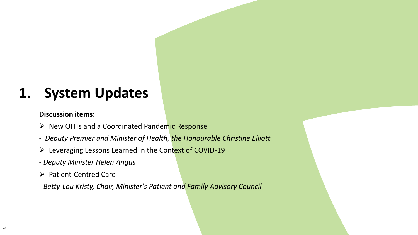# **1. System Updates**

#### **Discussion items:**

- ➢ New OHTs and a Coordinated Pandemic Response
- *Deputy Premier and Minister of Health, the Honourable Christine Elliott*
- ➢ Leveraging Lessons Learned in the Context of COVID-19
- *Deputy Minister Helen Angus*
- ➢ Patient-Centred Care
- *Betty-Lou Kristy, Chair, Minister's Patient and Family Advisory Council*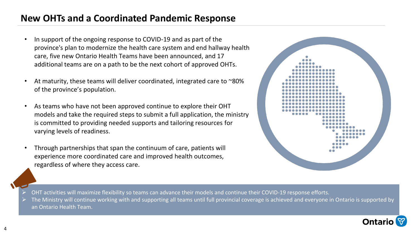## **New OHTs and a Coordinated Pandemic Response**

- In support of the ongoing response to COVID-19 and as part of the province's plan to modernize the health care system and end hallway health care, five new Ontario Health Teams have been announced, and 17 additional teams are on a path to be the next cohort of approved OHTs.
- At maturity, these teams will deliver coordinated, integrated care to ~80% of the province's population.
- As teams who have not been approved continue to explore their OHT models and take the required steps to submit a full application, the ministry is committed to providing needed supports and tailoring resources for varying levels of readiness.
- Through partnerships that span the continuum of care, patients will experience more coordinated care and improved health outcomes, regardless of where they access care.



- ➢ OHT activities will maximize flexibility so teams can advance their models and continue their COVID-19 response efforts.
- ➢ The Ministry will continue working with and supporting all teams until full provincial coverage is achieved and everyone in Ontario is supported by an Ontario Health Team.

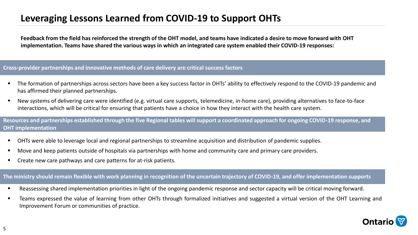## **Leveraging Lessons Learned from COVID-19 to Support OHTs**

**Feedback from the field has reinforced the strength of the OHT model, and teams have indicated a desire to move forward with OHT implementation. Teams have shared the various ways in which an integrated care system enabled their COVID-19 responses:**

**Cross-provider partnerships and innovative methods of care delivery are critical success factors**

- The formation of partnerships across sectors have been a key success factor in OHTs' ability to effectively respond to the COVID-19 pandemic and has affirmed their planned partnerships.
- New systems of delivering care were identified (e.g. virtual care supports, telemedicine, in-home care), providing alternatives to face-to-face interactions, which will be critical for ensuring that patients have a choice in how they interact with the health care system.

**Resources and partnerships established through the five Regional tables will support a coordinated approach for ongoing COVID-19 response, and OHT implementation**

- OHTs were able to leverage local and regional partnerships to streamline acquisition and distribution of pandemic supplies.
- Move and keep patients outside of hospitals via partnerships with home and community care and primary care providers.
- Create new care pathways and care patterns for at-risk patients.

#### **The ministry should remain flexible with work planning in recognition of the uncertain trajectory of COVID-19, and offer implementation supports**

- Reassessing shared implementation priorities in light of the ongoing pandemic response and sector capacity will be critical moving forward.
- Teams expressed the value of learning from other OHTs through formalized initiatives and suggested a virtual version of the OHT Learning and Improvement Forum or communities of practice.

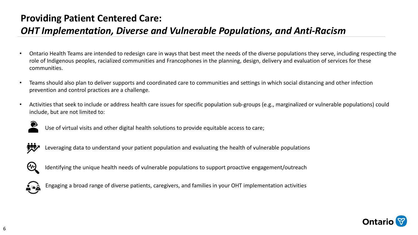## **Providing Patient Centered Care:**

## *OHT Implementation, Diverse and Vulnerable Populations, and Anti-Racism*

- Ontario Health Teams are intended to redesign care in ways that best meet the needs of the diverse populations they serve, including respecting the role of Indigenous peoples, racialized communities and Francophones in the planning, design, delivery and evaluation of services for these communities.
- Teams should also plan to deliver supports and coordinated care to communities and settings in which social distancing and other infection prevention and control practices are a challenge.
- Activities that seek to include or address health care issues for specific population sub-groups (e.g., marginalized or vulnerable populations) could include, but are not limited to:



Use of virtual visits and other digital health solutions to provide equitable access to care;



Leveraging data to understand your patient population and evaluating the health of vulnerable populations



Identifying the unique health needs of vulnerable populations to support proactive engagement/outreach



Engaging a broad range of diverse patients, caregivers, and families in your OHT implementation activities

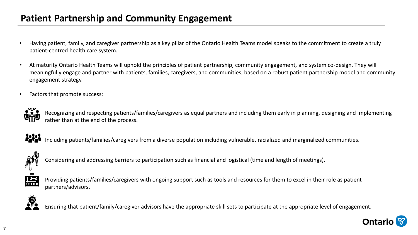### **Patient Partnership and Community Engagement**

- Having patient, family, and caregiver partnership as a key pillar of the Ontario Health Teams model speaks to the commitment to create a truly patient-centred health care system.
- At maturity Ontario Health Teams will uphold the principles of patient partnership, community engagement, and system co-design. They will meaningfully engage and partner with patients, families, caregivers, and communities, based on a robust patient partnership model and community engagement strategy.
- Factors that promote success:



Recognizing and respecting patients/families/caregivers as equal partners and including them early in planning, designing and implementing rather than at the end of the process.



**●●●●**<br>■■■■■ Including patients/families/caregivers from a diverse population including vulnerable, racialized and marginalized communities.



Considering and addressing barriers to participation such as financial and logistical (time and length of meetings).



Providing patients/families/caregivers with ongoing support such as tools and resources for them to excel in their role as patient partners/advisors.



Ensuring that patient/family/caregiver advisors have the appropriate skill sets to participate at the appropriate level of engagement.

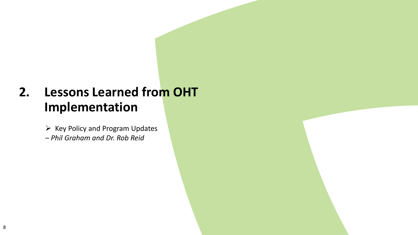## **2. Lessons Learned from OHT Implementation**

➢ Key Policy and Program Updates – *Phil Graham and Dr. Rob Reid*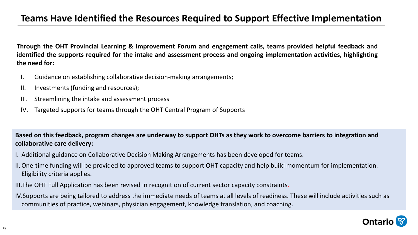### **Teams Have Identified the Resources Required to Support Effective Implementation**

Through the OHT Provincial Learning & Improvement Forum and engagement calls, teams provided helpful feedback and identified the supports required for the intake and assessment process and ongoing implementation activities, highlighting **the need for:**

- I. Guidance on establishing collaborative decision-making arrangements;
- II. Investments (funding and resources);
- III. Streamlining the intake and assessment process
- IV. Targeted supports for teams through the OHT Central Program of Supports

**Based on this feedback, program changes are underway to support OHTs as they work to overcome barriers to integration and collaborative care delivery:**

- I. Additional guidance on Collaborative Decision Making Arrangements has been developed for teams.
- II.One-time funding will be provided to approved teams to support OHT capacity and help build momentum for implementation. Eligibility criteria applies.
- III.The OHT Full Application has been revised in recognition of current sector capacity constraints.
- IV.Supports are being tailored to address the immediate needs of teams at all levels of readiness. These will include activities such as communities of practice, webinars, physician engagement, knowledge translation, and coaching.

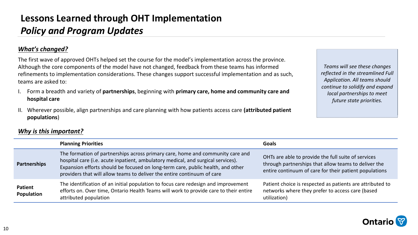## **Lessons Learned through OHT Implementation** *Policy and Program Updates*

#### *What's changed?*

The first wave of approved OHTs helped set the course for the model's implementation across the province. Although the core components of the model have not changed, feedback from these teams has informed refinements to implementation considerations. These changes support successful implementation and as such, teams are asked to:

- I. Form a breadth and variety of **partnerships**, beginning with **primary care, home and community care and hospital care**
- II. Wherever possible, align partnerships and care planning with how patients access care **(attributed patient populations**)

*Teams will see these changes reflected in the streamlined Full Application. All teams should continue to solidify and expand local partnerships to meet future state priorities.* 

|                              | <b>Planning Priorities</b>                                                                                                                                                                                                                                                                                                       | <b>Goals</b>                                                                                                                                                          |
|------------------------------|----------------------------------------------------------------------------------------------------------------------------------------------------------------------------------------------------------------------------------------------------------------------------------------------------------------------------------|-----------------------------------------------------------------------------------------------------------------------------------------------------------------------|
| <b>Partnerships</b>          | The formation of partnerships across primary care, home and community care and<br>hospital care (i.e. acute inpatient, ambulatory medical, and surgical services).<br>Expansion efforts should be focused on long-term care, public health, and other<br>providers that will allow teams to deliver the entire continuum of care | OHTs are able to provide the full suite of services<br>through partnerships that allow teams to deliver the<br>entire continuum of care for their patient populations |
| <b>Patient</b><br>Population | The identification of an initial population to focus care redesign and improvement<br>efforts on. Over time, Ontario Health Teams will work to provide care to their entire<br>attributed population                                                                                                                             | Patient choice is respected as patients are attributed to<br>networks where they prefer to access care (based<br>utilization)                                         |

#### *Why is this important?*

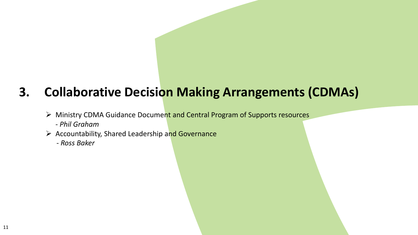## **3. Collaborative Decision Making Arrangements (CDMAs)**

- ➢ Ministry CDMA Guidance Document and Central Program of Supports resources
	- *Phil Graham*
- ➢ Accountability, Shared Leadership and Governance
	- *- Ross Baker*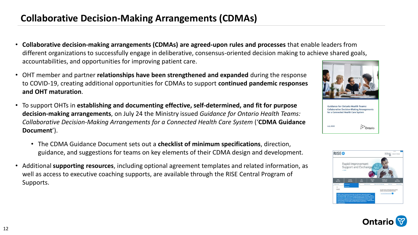## **Collaborative Decision-Making Arrangements (CDMAs)**

- **Collaborative decision-making arrangements (CDMAs) are agreed-upon rules and processes** that enable leaders from different organizations to successfully engage in deliberative, consensus-oriented decision making to achieve shared goals, accountabilities, and opportunities for improving patient care.
- OHT member and partner **relationships have been strengthened and expanded** during the response to COVID-19, creating additional opportunities for CDMAs to support **continued pandemic responses and OHT maturation**.
- To support OHTs in **establishing and documenting effective, self-determined, and fit for purpose decision-making arrangements**, on July 24 the Ministry issued *Guidance for Ontario Health Teams: Collaborative Decision-Making Arrangements for a Connected Health Care System* ('**CDMA Guidance Document**').
	- The CDMA Guidance Document sets out a **checklist of minimum specifications**, direction, guidance, and suggestions for teams on key elements of their CDMA design and development.
- Additional **supporting resources**, including optional agreement templates and related information, as well as access to executive coaching supports, are available through the RISE Central Program of Supports.





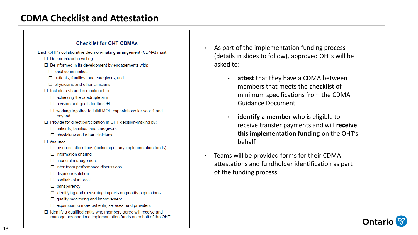## **CDMA Checklist and Attestation**

#### **Checklist for OHT CDMAs**

Each OHT's collaborative decision-making arrangement (CDMA) must:

- $\Box$  Be formalized in writing
- $\Box$  Be informed in its development by engagements with:
	- $\Box$  local communities:
	- □ patients, families, and caregivers; and
	- $\Box$  physicians and other clinicians
- $\Box$  Include a shared commitment to:
	- $\Box$  achieving the quadruple aim
	- $\Box$  a vision and goals for the OHT
	- $\Box$  working together to fulfill MOH expectations for year 1 and beyond
- $\Box$  Provide for direct participation in OHT decision-making by:
	- $\Box$  patients, families, and caregivers
	- $\Box$  physicians and other clinicians
- $\Box$  Address:
	- $\Box$  resource allocations (including of any implementation funds)
	- $\Box$  information sharing
	- $\Box$  financial management
	- $\Box$  inter-team performance discussions
	- $\Box$  dispute resolution
	- $\Box$  conflicts of interest
	- $\Box$  transparency
	- $\Box$  identifying and measuring impacts on priority populations
	- $\Box$  quality monitoring and improvement
	- $\Box$  expansion to more patients, services, and providers
- $\Box$  Identify a qualified entity who members agree will receive and manage any one-time implementation funds on behalf of the OHT
- As part of the implementation funding process (details in slides to follow), approved OHTs will be asked to:
	- **attest** that they have a CDMA between members that meets the **checklist** of minimum specifications from the CDMA Guidance Document
	- **identify a member** who is eligible to receive transfer payments and will **receive this implementation funding** on the OHT's behalf.
- Teams will be provided forms for their CDMA attestations and fundholder identification as part of the funding process.

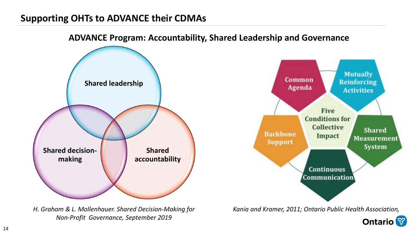## **Supporting OHTs to ADVANCE their CDMAs**



#### **ADVANCE Program: Accountability, Shared Leadership and Governance**

*H. Graham & L. Mollenhauer. Shared Decision-Making for Non-Profit Governance, September 2019*

**Ontario**<sup>8</sup>

*Kania and Kramer, 2011; Ontario Public Health Association,* 

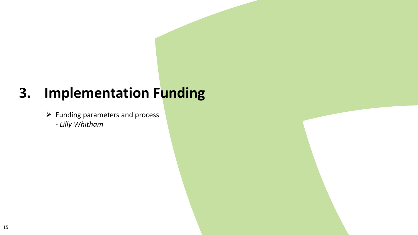# **3. Implementation Funding**

➢ Funding parameters and process - *Lilly Whitham*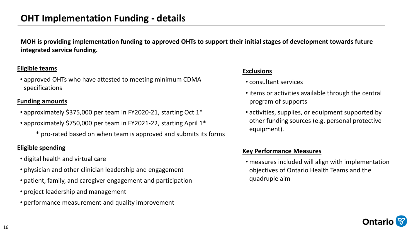### **OHT Implementation Funding - details**

**MOH is providing implementation funding to approved OHTs to support their initial stages of development towards future integrated service funding.**

#### **Eligible teams**

• approved OHTs who have attested to meeting minimum CDMA specifications

#### **Funding amounts**

- approximately \$375,000 per team in FY2020-21, starting Oct 1\*
- approximately \$750,000 per team in FY2021-22, starting April 1\*
	- \* pro-rated based on when team is approved and submits its forms

#### **Eligible spending**

- digital health and virtual care
- physician and other clinician leadership and engagement
- patient, family, and caregiver engagement and participation
- project leadership and management
- performance measurement and quality improvement

#### **Exclusions**

- consultant services
- items or activities available through the central program of supports
- activities, supplies, or equipment supported by other funding sources (e.g. personal protective equipment).

#### **Key Performance Measures**

• measures included will align with implementation objectives of Ontario Health Teams and the quadruple aim

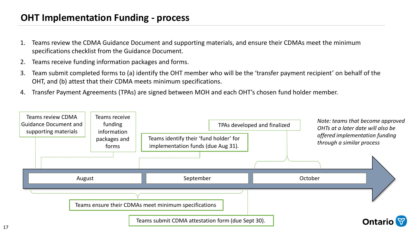## **OHT Implementation Funding - process**

- 1. Teams review the CDMA Guidance Document and supporting materials, and ensure their CDMAs meet the minimum specifications checklist from the Guidance Document.
- 2. Teams receive funding information packages and forms.
- 3. Team submit completed forms to (a) identify the OHT member who will be the 'transfer payment recipient' on behalf of the OHT, and (b) attest that their CDMA meets minimum specifications.
- 4. Transfer Payment Agreements (TPAs) are signed between MOH and each OHT's chosen fund holder member.